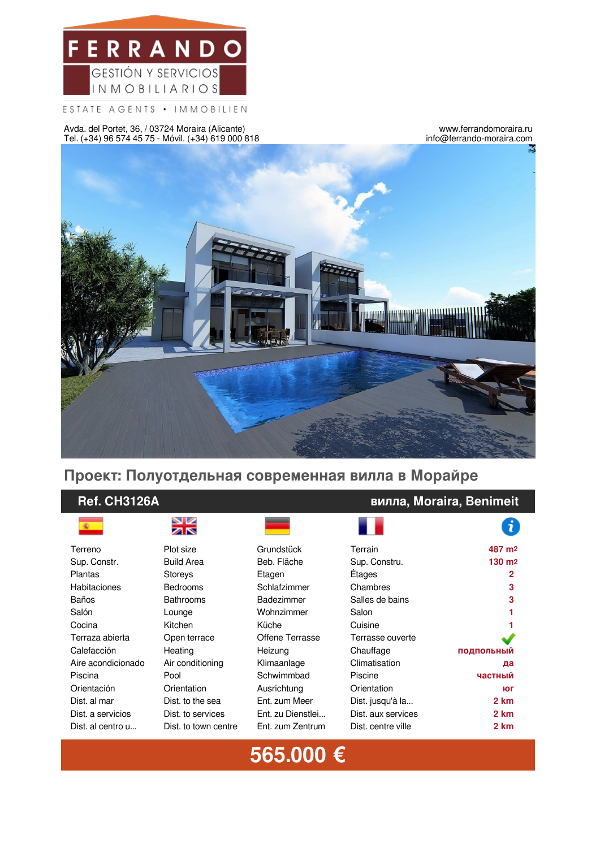

ESTATE AGENTS • IMMOBILIEN

Avda. del Portet, 36, / 03724 Moraira (Alicante) Tel. (+34) 96 574 45 75 - Móvil. (+34) 619 000 818

www.ferrandomoraira.ru info@ferrando-moraira.com



## **Проект: Полуотдельная современная вилла в Морайре**

### **Ref. CH3126A вилла, Moraira, Benimeit**





| Terreno            | Plot size            | Grundstück        | Terrain            | 487 m <sub>2</sub> |
|--------------------|----------------------|-------------------|--------------------|--------------------|
| Sup. Constr.       | <b>Build Area</b>    | Beb. Fläche       | Sup. Constru.      | 130 m <sup>2</sup> |
| Plantas            | <b>Storeys</b>       | Etagen            | Étages             | $\mathbf{2}$       |
| Habitaciones       | <b>Bedrooms</b>      | Schlafzimmer      | Chambres           | 3                  |
| Baños              | <b>Bathrooms</b>     | Badezimmer        | Salles de bains    | 3                  |
| Salón              | Lounge               | Wohnzimmer        | Salon              | 1                  |
| Cocina             | Kitchen              | Küche             | Cuisine            |                    |
| Terraza abierta    | Open terrace         | Offene Terrasse   | Terrasse ouverte   |                    |
| Calefacción        | Heating              | Heizung           | Chauffage          | <b>ПОДПОЛЬНЫЙ</b>  |
| Aire acondicionado | Air conditioning     | Klimaanlage       | Climatisation      | да                 |
| Piscina            | Pool                 | Schwimmbad        | Piscine            | частный            |
| Orientación        | Orientation          | Ausrichtung       | Orientation        | ЮГ                 |
| Dist. al mar       | Dist. to the sea     | Ent. zum Meer     | Dist. jusqu'à la   | 2 km               |
| Dist. a servicios  | Dist. to services    | Ent. zu Dienstlei | Dist. aux services | 2 km               |
| Dist. al centro u  | Dist. to town centre | Ent. zum Zentrum  | Dist. centre ville | 2 km               |
|                    |                      |                   |                    |                    |

1

# **565.000 €**